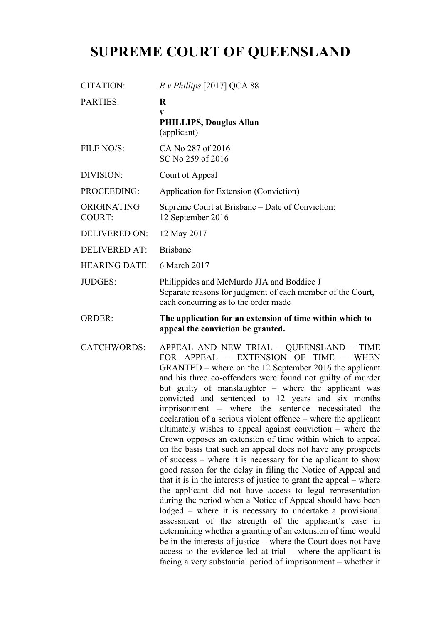# **SUPREME COURT OF QUEENSLAND**

| CITATION:                    | $R v$ Phillips [2017] QCA 88                                                                                                                                                                                                                                                                                                                                                                                                                                                                                                                                                                                                                                                                                                                                                                                                                                                                                                                                                                                                                                                                                                                                                                                                                                                                                                                                           |
|------------------------------|------------------------------------------------------------------------------------------------------------------------------------------------------------------------------------------------------------------------------------------------------------------------------------------------------------------------------------------------------------------------------------------------------------------------------------------------------------------------------------------------------------------------------------------------------------------------------------------------------------------------------------------------------------------------------------------------------------------------------------------------------------------------------------------------------------------------------------------------------------------------------------------------------------------------------------------------------------------------------------------------------------------------------------------------------------------------------------------------------------------------------------------------------------------------------------------------------------------------------------------------------------------------------------------------------------------------------------------------------------------------|
| <b>PARTIES:</b>              | $\bf R$<br>V<br><b>PHILLIPS, Douglas Allan</b><br>(applicant)                                                                                                                                                                                                                                                                                                                                                                                                                                                                                                                                                                                                                                                                                                                                                                                                                                                                                                                                                                                                                                                                                                                                                                                                                                                                                                          |
| FILE NO/S:                   | CA No 287 of 2016<br>SC No 259 of 2016                                                                                                                                                                                                                                                                                                                                                                                                                                                                                                                                                                                                                                                                                                                                                                                                                                                                                                                                                                                                                                                                                                                                                                                                                                                                                                                                 |
| DIVISION:                    | Court of Appeal                                                                                                                                                                                                                                                                                                                                                                                                                                                                                                                                                                                                                                                                                                                                                                                                                                                                                                                                                                                                                                                                                                                                                                                                                                                                                                                                                        |
| PROCEEDING:                  | Application for Extension (Conviction)                                                                                                                                                                                                                                                                                                                                                                                                                                                                                                                                                                                                                                                                                                                                                                                                                                                                                                                                                                                                                                                                                                                                                                                                                                                                                                                                 |
| ORIGINATING<br><b>COURT:</b> | Supreme Court at Brisbane – Date of Conviction:<br>12 September 2016                                                                                                                                                                                                                                                                                                                                                                                                                                                                                                                                                                                                                                                                                                                                                                                                                                                                                                                                                                                                                                                                                                                                                                                                                                                                                                   |
| <b>DELIVERED ON:</b>         | 12 May 2017                                                                                                                                                                                                                                                                                                                                                                                                                                                                                                                                                                                                                                                                                                                                                                                                                                                                                                                                                                                                                                                                                                                                                                                                                                                                                                                                                            |
| <b>DELIVERED AT:</b>         | <b>Brisbane</b>                                                                                                                                                                                                                                                                                                                                                                                                                                                                                                                                                                                                                                                                                                                                                                                                                                                                                                                                                                                                                                                                                                                                                                                                                                                                                                                                                        |
| <b>HEARING DATE:</b>         | 6 March 2017                                                                                                                                                                                                                                                                                                                                                                                                                                                                                                                                                                                                                                                                                                                                                                                                                                                                                                                                                                                                                                                                                                                                                                                                                                                                                                                                                           |
| <b>JUDGES:</b>               | Philippides and McMurdo JJA and Boddice J<br>Separate reasons for judgment of each member of the Court,<br>each concurring as to the order made                                                                                                                                                                                                                                                                                                                                                                                                                                                                                                                                                                                                                                                                                                                                                                                                                                                                                                                                                                                                                                                                                                                                                                                                                        |
| <b>ORDER:</b>                | The application for an extension of time within which to<br>appeal the conviction be granted.                                                                                                                                                                                                                                                                                                                                                                                                                                                                                                                                                                                                                                                                                                                                                                                                                                                                                                                                                                                                                                                                                                                                                                                                                                                                          |
| <b>CATCHWORDS:</b>           | APPEAL AND NEW TRIAL - QUEENSLAND - TIME<br>FOR APPEAL - EXTENSION OF TIME - WHEN<br>GRANTED – where on the 12 September 2016 the applicant<br>and his three co-offenders were found not guilty of murder<br>but guilty of manslaughter – where the applicant was<br>convicted and sentenced to 12 years and six months<br>imprisonment – where the sentence necessitated the<br>declaration of a serious violent offence – where the applicant<br>ultimately wishes to appeal against conviction $-$ where the<br>Crown opposes an extension of time within which to appeal<br>on the basis that such an appeal does not have any prospects<br>of success – where it is necessary for the applicant to show<br>good reason for the delay in filing the Notice of Appeal and<br>that it is in the interests of justice to grant the appeal – where<br>the applicant did not have access to legal representation<br>during the period when a Notice of Appeal should have been<br>lodged – where it is necessary to undertake a provisional<br>assessment of the strength of the applicant's case in<br>determining whether a granting of an extension of time would<br>be in the interests of justice – where the Court does not have<br>access to the evidence led at trial - where the applicant is<br>facing a very substantial period of imprisonment – whether it |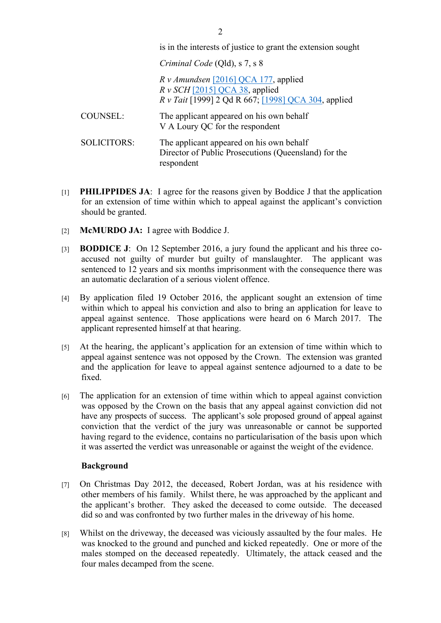2

is in the interests of justice to grant the extension sought

*Criminal Code* (Qld), s 7, s 8

*R v Amundsen* [2016] QCA 177, applied *R v SCH* [2015] QCA 38, applied *R v Tait* [1999] 2 Qd R 667; [1998] QCA 304, applied

COUNSEL: The applicant appeared on his own behalf V A Loury QC for the respondent

SOLICITORS: The applicant appeared on his own behalf Director of Public Prosecutions (Queensland) for the respondent

- [1] **PHILIPPIDES JA**: I agree for the reasons given by Boddice J that the application for an extension of time within which to appeal against the applicant's conviction should be granted.
- [2] **McMURDO JA:** I agree with Boddice J.
- [3] **BODDICE J**: On 12 September 2016, a jury found the applicant and his three coaccused not guilty of murder but guilty of manslaughter. The applicant was sentenced to 12 years and six months imprisonment with the consequence there was an automatic declaration of a serious violent offence.
- [4] By application filed 19 October 2016, the applicant sought an extension of time within which to appeal his conviction and also to bring an application for leave to appeal against sentence. Those applications were heard on 6 March 2017. The applicant represented himself at that hearing.
- [5] At the hearing, the applicant's application for an extension of time within which to appeal against sentence was not opposed by the Crown. The extension was granted and the application for leave to appeal against sentence adjourned to a date to be fixed.
- [6] The application for an extension of time within which to appeal against conviction was opposed by the Crown on the basis that any appeal against conviction did not have any prospects of success. The applicant's sole proposed ground of appeal against conviction that the verdict of the jury was unreasonable or cannot be supported having regard to the evidence, contains no particularisation of the basis upon which it was asserted the verdict was unreasonable or against the weight of the evidence.

#### **Background**

- [7] On Christmas Day 2012, the deceased, Robert Jordan, was at his residence with other members of his family. Whilst there, he was approached by the applicant and the applicant's brother. They asked the deceased to come outside. The deceased did so and was confronted by two further males in the driveway of his home.
- [8] Whilst on the driveway, the deceased was viciously assaulted by the four males. He was knocked to the ground and punched and kicked repeatedly. One or more of the males stomped on the deceased repeatedly. Ultimately, the attack ceased and the four males decamped from the scene.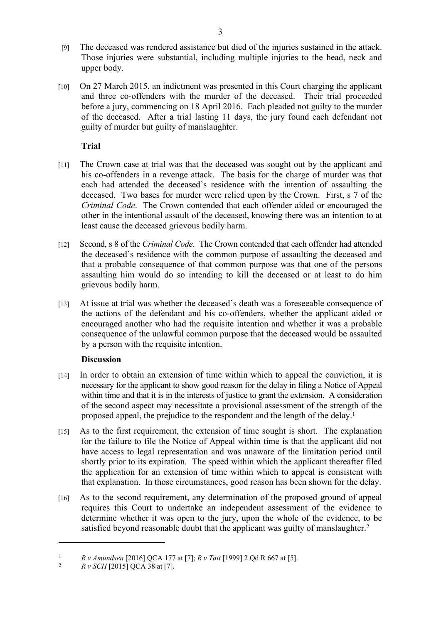- [9] The deceased was rendered assistance but died of the injuries sustained in the attack. Those injuries were substantial, including multiple injuries to the head, neck and upper body.
- [10] On 27 March 2015, an indictment was presented in this Court charging the applicant and three co-offenders with the murder of the deceased. Their trial proceeded before a jury, commencing on 18 April 2016. Each pleaded not guilty to the murder of the deceased. After a trial lasting 11 days, the jury found each defendant not guilty of murder but guilty of manslaughter.

### **Trial**

- [11] The Crown case at trial was that the deceased was sought out by the applicant and his co-offenders in a revenge attack. The basis for the charge of murder was that each had attended the deceased's residence with the intention of assaulting the deceased. Two bases for murder were relied upon by the Crown. First, s 7 of the *Criminal Code*. The Crown contended that each offender aided or encouraged the other in the intentional assault of the deceased, knowing there was an intention to at least cause the deceased grievous bodily harm.
- [12] Second, s 8 of the *Criminal Code*. The Crown contended that each offender had attended the deceased's residence with the common purpose of assaulting the deceased and that a probable consequence of that common purpose was that one of the persons assaulting him would do so intending to kill the deceased or at least to do him grievous bodily harm.
- [13] At issue at trial was whether the deceased's death was a foreseeable consequence of the actions of the defendant and his co-offenders, whether the applicant aided or encouraged another who had the requisite intention and whether it was a probable consequence of the unlawful common purpose that the deceased would be assaulted by a person with the requisite intention.

## **Discussion**

- [14] In order to obtain an extension of time within which to appeal the conviction, it is necessary for the applicant to show good reason for the delay in filing a Notice of Appeal within time and that it is in the interests of justice to grant the extension. A consideration of the second aspect may necessitate a provisional assessment of the strength of the proposed appeal, the prejudice to the respondent and the length of the delay.<sup>1</sup>
- [15] As to the first requirement, the extension of time sought is short. The explanation for the failure to file the Notice of Appeal within time is that the applicant did not have access to legal representation and was unaware of the limitation period until shortly prior to its expiration. The speed within which the applicant thereafter filed the application for an extension of time within which to appeal is consistent with that explanation. In those circumstances, good reason has been shown for the delay.
- [16] As to the second requirement, any determination of the proposed ground of appeal requires this Court to undertake an independent assessment of the evidence to determine whether it was open to the jury, upon the whole of the evidence, to be satisfied beyond reasonable doubt that the applicant was guilty of manslaughter.<sup>2</sup>

<sup>1</sup> *R v Amundsen* [2016] QCA 177 at [7]; *R v Tait* [1999] 2 Qd R 667 at [5].

<sup>2</sup> *R v SCH* [2015] QCA 38 at [7].